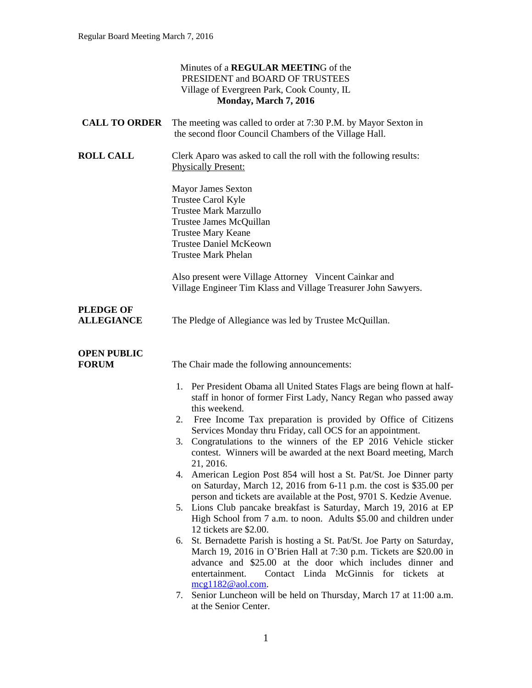|                                       | Minutes of a <b>REGULAR MEETING</b> of the<br>PRESIDENT and BOARD OF TRUSTEES<br>Village of Evergreen Park, Cook County, IL<br>Monday, March 7, 2016                                                                                                                                                                                                                                                                                                                                                                                                                                                                                                                                                                                                                                                                                                                                                                                                                                                                                                                                                                                                                                                                                                          |
|---------------------------------------|---------------------------------------------------------------------------------------------------------------------------------------------------------------------------------------------------------------------------------------------------------------------------------------------------------------------------------------------------------------------------------------------------------------------------------------------------------------------------------------------------------------------------------------------------------------------------------------------------------------------------------------------------------------------------------------------------------------------------------------------------------------------------------------------------------------------------------------------------------------------------------------------------------------------------------------------------------------------------------------------------------------------------------------------------------------------------------------------------------------------------------------------------------------------------------------------------------------------------------------------------------------|
| <b>CALL TO ORDER</b>                  | The meeting was called to order at 7:30 P.M. by Mayor Sexton in<br>the second floor Council Chambers of the Village Hall.                                                                                                                                                                                                                                                                                                                                                                                                                                                                                                                                                                                                                                                                                                                                                                                                                                                                                                                                                                                                                                                                                                                                     |
| <b>ROLL CALL</b>                      | Clerk Aparo was asked to call the roll with the following results:<br><b>Physically Present:</b>                                                                                                                                                                                                                                                                                                                                                                                                                                                                                                                                                                                                                                                                                                                                                                                                                                                                                                                                                                                                                                                                                                                                                              |
|                                       | <b>Mayor James Sexton</b><br>Trustee Carol Kyle<br><b>Trustee Mark Marzullo</b><br>Trustee James McQuillan<br>Trustee Mary Keane<br><b>Trustee Daniel McKeown</b><br><b>Trustee Mark Phelan</b>                                                                                                                                                                                                                                                                                                                                                                                                                                                                                                                                                                                                                                                                                                                                                                                                                                                                                                                                                                                                                                                               |
|                                       | Also present were Village Attorney Vincent Cainkar and<br>Village Engineer Tim Klass and Village Treasurer John Sawyers.                                                                                                                                                                                                                                                                                                                                                                                                                                                                                                                                                                                                                                                                                                                                                                                                                                                                                                                                                                                                                                                                                                                                      |
| <b>PLEDGE OF</b><br><b>ALLEGIANCE</b> | The Pledge of Allegiance was led by Trustee McQuillan.                                                                                                                                                                                                                                                                                                                                                                                                                                                                                                                                                                                                                                                                                                                                                                                                                                                                                                                                                                                                                                                                                                                                                                                                        |
| <b>OPEN PUBLIC</b><br><b>FORUM</b>    | The Chair made the following announcements:                                                                                                                                                                                                                                                                                                                                                                                                                                                                                                                                                                                                                                                                                                                                                                                                                                                                                                                                                                                                                                                                                                                                                                                                                   |
|                                       | 1. Per President Obama all United States Flags are being flown at half-<br>staff in honor of former First Lady, Nancy Regan who passed away<br>this weekend.<br>Free Income Tax preparation is provided by Office of Citizens<br>2.<br>Services Monday thru Friday, call OCS for an appointment.<br>Congratulations to the winners of the EP 2016 Vehicle sticker<br>3.<br>contest. Winners will be awarded at the next Board meeting, March<br>21, 2016.<br>American Legion Post 854 will host a St. Pat/St. Joe Dinner party<br>4.<br>on Saturday, March 12, 2016 from 6-11 p.m. the cost is \$35.00 per<br>person and tickets are available at the Post, 9701 S. Kedzie Avenue.<br>5. Lions Club pancake breakfast is Saturday, March 19, 2016 at EP<br>High School from 7 a.m. to noon. Adults \$5.00 and children under<br>12 tickets are \$2.00.<br>St. Bernadette Parish is hosting a St. Pat/St. Joe Party on Saturday,<br>6.<br>March 19, 2016 in O'Brien Hall at 7:30 p.m. Tickets are \$20.00 in<br>advance and \$25.00 at the door which includes dinner and<br>entertainment.<br>Contact Linda McGinnis for tickets at<br>$mcg1182@aol.com$ .<br>Senior Luncheon will be held on Thursday, March 17 at 11:00 a.m.<br>7.<br>at the Senior Center. |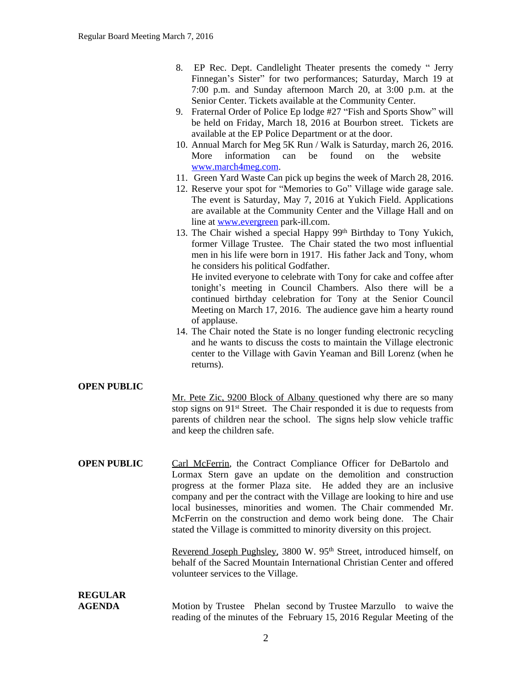- 8. EP Rec. Dept. Candlelight Theater presents the comedy " Jerry Finnegan's Sister" for two performances; Saturday, March 19 at 7:00 p.m. and Sunday afternoon March 20, at 3:00 p.m. at the Senior Center. Tickets available at the Community Center.
- 9. Fraternal Order of Police Ep lodge #27 "Fish and Sports Show" will be held on Friday, March 18, 2016 at Bourbon street. Tickets are available at the EP Police Department or at the door.
- 10. Annual March for Meg 5K Run / Walk is Saturday, march 26, 2016. More information can be found on the website [www.march4meg.com.](http://www.march4meg.com)
- 11. Green Yard Waste Can pick up begins the week of March 28, 2016.
- 12. Reserve your spot for "Memories to Go" Village wide garage sale. The event is Saturday, May 7, 2016 at Yukich Field. Applications are available at the Community Center and the Village Hall and on line at [www.evergreen](http://www.evergreen) park-ill.com.
- 13. The Chair wished a special Happy 99<sup>th</sup> Birthday to Tony Yukich, former Village Trustee. The Chair stated the two most influential men in his life were born in 1917. His father Jack and Tony, whom he considers his political Godfather.

He invited everyone to celebrate with Tony for cake and coffee after tonight's meeting in Council Chambers. Also there will be a continued birthday celebration for Tony at the Senior Council Meeting on March 17, 2016. The audience gave him a hearty round of applause.

14. The Chair noted the State is no longer funding electronic recycling and he wants to discuss the costs to maintain the Village electronic center to the Village with Gavin Yeaman and Bill Lorenz (when he returns).

#### **OPEN PUBLIC**

Mr. Pete Zic, 9200 Block of Albany questioned why there are so many stop signs on 91<sup>st</sup> Street. The Chair responded it is due to requests from parents of children near the school. The signs help slow vehicle traffic and keep the children safe.

**OPEN PUBLIC** Carl McFerrin, the Contract Compliance Officer for DeBartolo and Lormax Stern gave an update on the demolition and construction progress at the former Plaza site. He added they are an inclusive company and per the contract with the Village are looking to hire and use local businesses, minorities and women. The Chair commended Mr. McFerrin on the construction and demo work being done. The Chair stated the Village is committed to minority diversity on this project.

> Reverend Joseph Pughsley, 3800 W. 95<sup>th</sup> Street, introduced himself, on behalf of the Sacred Mountain International Christian Center and offered volunteer services to the Village.

#### **REGULAR AGENDA Motion by Trustee Phelan second by Trustee Marzullo** to waive the reading of the minutes of the February 15, 2016 Regular Meeting of the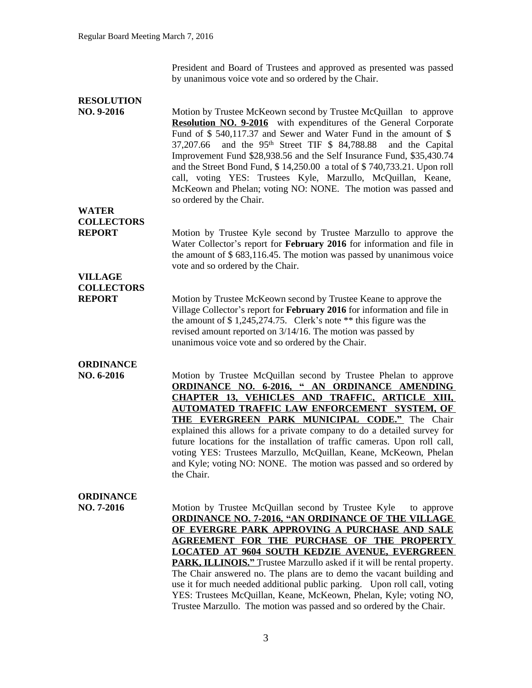President and Board of Trustees and approved as presented was passed by unanimous voice vote and so ordered by the Chair.

| <b>RESOLUTION</b>                 |                                                                                                                                                                                                                                                                                                                                                                                                                                                                                                                                                                                                                                                                                |
|-----------------------------------|--------------------------------------------------------------------------------------------------------------------------------------------------------------------------------------------------------------------------------------------------------------------------------------------------------------------------------------------------------------------------------------------------------------------------------------------------------------------------------------------------------------------------------------------------------------------------------------------------------------------------------------------------------------------------------|
| $NO. 9-2016$                      | Motion by Trustee McKeown second by Trustee McQuillan to approve<br><b>Resolution NO. 9-2016</b> with expenditures of the General Corporate<br>Fund of $$540,117.37$ and Sewer and Water Fund in the amount of $$$<br>and the $95th$ Street TIF \$ 84,788.88<br>37,207.66<br>and the Capital<br>Improvement Fund \$28,938.56 and the Self Insurance Fund, \$35,430.74<br>and the Street Bond Fund, \$14,250.00 a total of \$740,733.21. Upon roll<br>call, voting YES: Trustees Kyle, Marzullo, McQuillan, Keane,<br>McKeown and Phelan; voting NO: NONE. The motion was passed and<br>so ordered by the Chair.                                                                |
| <b>WATER</b><br><b>COLLECTORS</b> |                                                                                                                                                                                                                                                                                                                                                                                                                                                                                                                                                                                                                                                                                |
| <b>REPORT</b>                     | Motion by Trustee Kyle second by Trustee Marzullo to approve the<br>Water Collector's report for February 2016 for information and file in<br>the amount of $$683,116.45$ . The motion was passed by unanimous voice<br>vote and so ordered by the Chair.                                                                                                                                                                                                                                                                                                                                                                                                                      |
| <b>VILLAGE</b>                    |                                                                                                                                                                                                                                                                                                                                                                                                                                                                                                                                                                                                                                                                                |
| <b>COLLECTORS</b>                 |                                                                                                                                                                                                                                                                                                                                                                                                                                                                                                                                                                                                                                                                                |
| <b>REPORT</b>                     | Motion by Trustee McKeown second by Trustee Keane to approve the<br>Village Collector's report for February 2016 for information and file in<br>the amount of $$1,245,274.75$ . Clerk's note ** this figure was the<br>revised amount reported on 3/14/16. The motion was passed by<br>unanimous voice vote and so ordered by the Chair.                                                                                                                                                                                                                                                                                                                                       |
| <b>ORDINANCE</b>                  |                                                                                                                                                                                                                                                                                                                                                                                                                                                                                                                                                                                                                                                                                |
| NO. 6-2016                        | Motion by Trustee McQuillan second by Trustee Phelan to approve<br><b>ORDINANCE NO. 6-2016, " AN ORDINANCE AMENDING</b>                                                                                                                                                                                                                                                                                                                                                                                                                                                                                                                                                        |
|                                   | <b>CHAPTER 13, VEHICLES AND TRAFFIC, ARTICLE XIII,</b>                                                                                                                                                                                                                                                                                                                                                                                                                                                                                                                                                                                                                         |
|                                   | <b>AUTOMATED TRAFFIC LAW ENFORCEMENT SYSTEM, OF</b><br><b>THE EVERGREEN PARK MUNICIPAL CODE."</b> The Chair<br>explained this allows for a private company to do a detailed survey for<br>future locations for the installation of traffic cameras. Upon roll call,<br>voting YES: Trustees Marzullo, McQuillan, Keane, McKeown, Phelan<br>and Kyle; voting NO: NONE. The motion was passed and so ordered by<br>the Chair.                                                                                                                                                                                                                                                    |
| <b>ORDINANCE</b>                  |                                                                                                                                                                                                                                                                                                                                                                                                                                                                                                                                                                                                                                                                                |
| NO. 7-2016                        | Motion by Trustee McQuillan second by Trustee Kyle<br>to approve<br><b>ORDINANCE NO. 7-2016, "AN ORDINANCE OF THE VILLAGE</b><br>OF EVERGRE PARK APPROVING A PURCHASE AND SALE<br><b>AGREEMENT FOR THE PURCHASE OF THE PROPERTY</b><br><b>LOCATED AT 9604 SOUTH KEDZIE AVENUE, EVERGREEN</b><br><b>PARK, ILLINOIS."</b> Trustee Marzullo asked if it will be rental property.<br>The Chair answered no. The plans are to demo the vacant building and<br>use it for much needed additional public parking. Upon roll call, voting<br>YES: Trustees McQuillan, Keane, McKeown, Phelan, Kyle; voting NO,<br>Trustee Marzullo. The motion was passed and so ordered by the Chair. |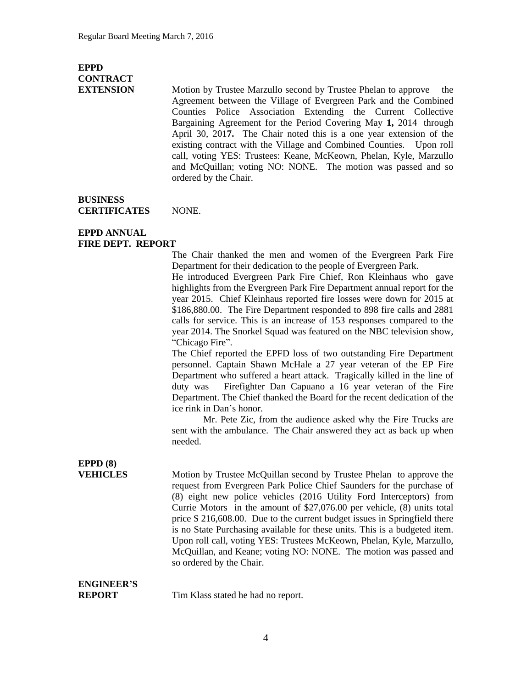## **EPPD CONTRACT**

**EXTENSION** Motion by Trustee Marzullo second by Trustee Phelan to approve the Agreement between the Village of Evergreen Park and the Combined Counties Police Association Extending the Current Collective Bargaining Agreement for the Period Covering May **1,** 2014 through April 30, 201**7.** The Chair noted this is a one year extension of the existing contract with the Village and Combined Counties. Upon roll call, voting YES: Trustees: Keane, McKeown, Phelan, Kyle, Marzullo and McQuillan; voting NO: NONE. The motion was passed and so ordered by the Chair.

#### **BUSINESS CERTIFICATES** NONE.

#### **EPPD ANNUAL FIRE DEPT. REPORT**

The Chair thanked the men and women of the Evergreen Park Fire Department for their dedication to the people of Evergreen Park.

He introduced Evergreen Park Fire Chief, Ron Kleinhaus who gave highlights from the Evergreen Park Fire Department annual report for the year 2015. Chief Kleinhaus reported fire losses were down for 2015 at \$186,880.00. The Fire Department responded to 898 fire calls and 2881 calls for service. This is an increase of 153 responses compared to the year 2014. The Snorkel Squad was featured on the NBC television show, "Chicago Fire".

The Chief reported the EPFD loss of two outstanding Fire Department personnel. Captain Shawn McHale a 27 year veteran of the EP Fire Department who suffered a heart attack. Tragically killed in the line of duty was Firefighter Dan Capuano a 16 year veteran of the Fire Department. The Chief thanked the Board for the recent dedication of the ice rink in Dan's honor.

Mr. Pete Zic, from the audience asked why the Fire Trucks are sent with the ambulance. The Chair answered they act as back up when needed.

## **EPPD (8)**

**VEHICLES** Motion by Trustee McQuillan second by Trustee Phelan to approve the request from Evergreen Park Police Chief Saunders for the purchase of (8) eight new police vehicles (2016 Utility Ford Interceptors) from Currie Motors in the amount of \$27,076.00 per vehicle, (8) units total price \$ 216,608.00. Due to the current budget issues in Springfield there is no State Purchasing available for these units. This is a budgeted item. Upon roll call, voting YES: Trustees McKeown, Phelan, Kyle, Marzullo, McQuillan, and Keane; voting NO: NONE. The motion was passed and so ordered by the Chair.

### **ENGINEER'S**

**REPORT** Tim Klass stated he had no report.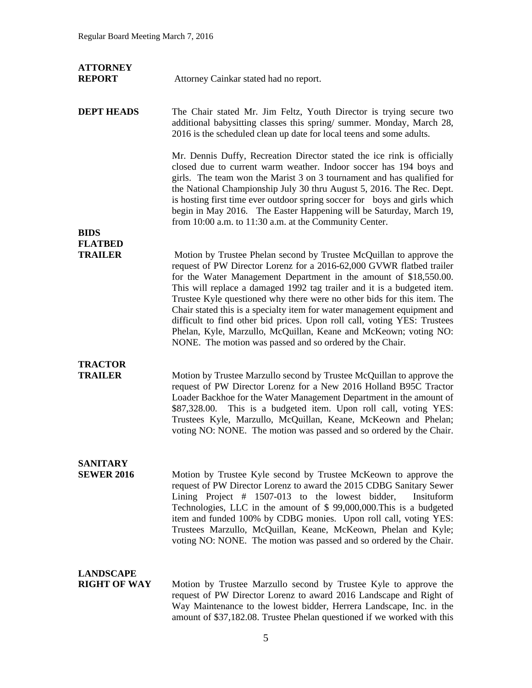| <b>ATTORNEY</b><br><b>REPORT</b>        | Attorney Cainkar stated had no report.                                                                                                                                                                                                                                                                                                                                                                                                                                                                                                                                                                                                                         |
|-----------------------------------------|----------------------------------------------------------------------------------------------------------------------------------------------------------------------------------------------------------------------------------------------------------------------------------------------------------------------------------------------------------------------------------------------------------------------------------------------------------------------------------------------------------------------------------------------------------------------------------------------------------------------------------------------------------------|
| <b>DEPT HEADS</b>                       | The Chair stated Mr. Jim Feltz, Youth Director is trying secure two<br>additional babysitting classes this spring/summer. Monday, March 28,<br>2016 is the scheduled clean up date for local teens and some adults.                                                                                                                                                                                                                                                                                                                                                                                                                                            |
|                                         | Mr. Dennis Duffy, Recreation Director stated the ice rink is officially<br>closed due to current warm weather. Indoor soccer has 194 boys and<br>girls. The team won the Marist 3 on 3 tournament and has qualified for<br>the National Championship July 30 thru August 5, 2016. The Rec. Dept.<br>is hosting first time ever outdoor spring soccer for boys and girls which<br>begin in May 2016. The Easter Happening will be Saturday, March 19,<br>from 10:00 a.m. to 11:30 a.m. at the Community Center.                                                                                                                                                 |
| <b>BIDS</b>                             |                                                                                                                                                                                                                                                                                                                                                                                                                                                                                                                                                                                                                                                                |
| <b>FLATBED</b><br><b>TRAILER</b>        | Motion by Trustee Phelan second by Trustee McQuillan to approve the<br>request of PW Director Lorenz for a 2016-62,000 GVWR flatbed trailer<br>for the Water Management Department in the amount of \$18,550.00.<br>This will replace a damaged 1992 tag trailer and it is a budgeted item.<br>Trustee Kyle questioned why there were no other bids for this item. The<br>Chair stated this is a specialty item for water management equipment and<br>difficult to find other bid prices. Upon roll call, voting YES: Trustees<br>Phelan, Kyle, Marzullo, McQuillan, Keane and McKeown; voting NO:<br>NONE. The motion was passed and so ordered by the Chair. |
| <b>TRACTOR</b><br><b>TRAILER</b>        | Motion by Trustee Marzullo second by Trustee McQuillan to approve the<br>request of PW Director Lorenz for a New 2016 Holland B95C Tractor<br>Loader Backhoe for the Water Management Department in the amount of<br>This is a budgeted item. Upon roll call, voting YES:<br>\$87,328.00.<br>Trustees Kyle, Marzullo, McQuillan, Keane, McKeown and Phelan;<br>voting NO: NONE. The motion was passed and so ordered by the Chair.                                                                                                                                                                                                                             |
| <b>SANITARY</b><br><b>SEWER 2016</b>    | Motion by Trustee Kyle second by Trustee McKeown to approve the<br>request of PW Director Lorenz to award the 2015 CDBG Sanitary Sewer<br>Lining Project $#$ 1507-013 to the lowest bidder,<br>Insituform<br>Technologies, LLC in the amount of \$99,000,000. This is a budgeted<br>item and funded 100% by CDBG monies. Upon roll call, voting YES:<br>Trustees Marzullo, McQuillan, Keane, McKeown, Phelan and Kyle;<br>voting NO: NONE. The motion was passed and so ordered by the Chair.                                                                                                                                                                  |
| <b>LANDSCAPE</b><br><b>RIGHT OF WAY</b> | Motion by Trustee Marzullo second by Trustee Kyle to approve the<br>request of PW Director Lorenz to award 2016 Landscape and Right of<br>Way Maintenance to the lowest bidder, Herrera Landscape, Inc. in the<br>amount of \$37,182.08. Trustee Phelan questioned if we worked with this                                                                                                                                                                                                                                                                                                                                                                      |